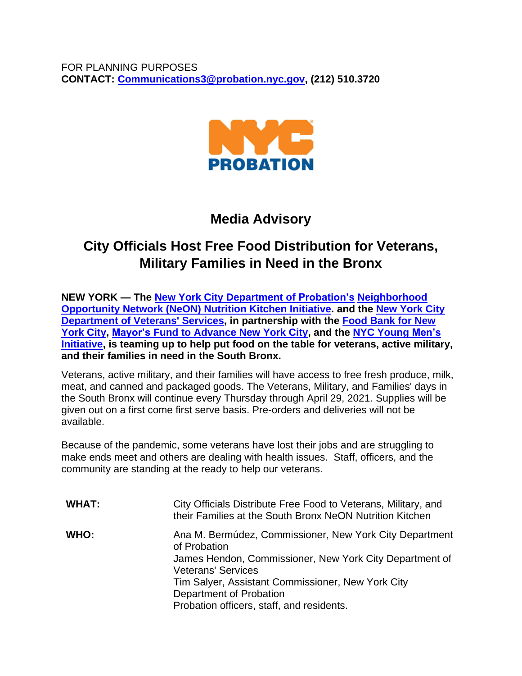

## **Media Advisory**

# **City Officials Host Free Food Distribution for Veterans, Military Families in Need in the Bronx**

**NEW YORK — The New York City [Department](https://gcc02.safelinks.protection.outlook.com/?url=https%3A%2F%2Fwww1.nyc.gov%2Fsite%2Fprobation%2Findex.page&data=04%7C01%7Cafgonzalez%40probation.nyc.gov%7C3a5f3eceb4ee4fc4c66508d8ff8170ca%7C32f56fc75f814e22a95b15da66513bef%7C0%7C0%7C637540278691242326%7CUnknown%7CTWFpbGZsb3d8eyJWIjoiMC4wLjAwMDAiLCJQIjoiV2luMzIiLCJBTiI6Ik1haWwiLCJXVCI6Mn0%3D%7C1000&sdata=%2Bh8CNRLS4jrFzGg%2F4BlQZV9swRz%2BC9vOjBkdA5xTz0U%3D&reserved=0) of Probation's [Neighborhood](https://gcc02.safelinks.protection.outlook.com/?url=https%3A%2F%2Fwww1.nyc.gov%2Fsite%2Fneon%2Fprograms%2Fnutrition-kitchen.page&data=04%7C01%7Cafgonzalez%40probation.nyc.gov%7C3a5f3eceb4ee4fc4c66508d8ff8170ca%7C32f56fc75f814e22a95b15da66513bef%7C0%7C0%7C637540278691242326%7CUnknown%7CTWFpbGZsb3d8eyJWIjoiMC4wLjAwMDAiLCJQIjoiV2luMzIiLCJBTiI6Ik1haWwiLCJXVCI6Mn0%3D%7C1000&sdata=IJcz%2BFnzB5upbncUMV7h0%2BM%2FQ8P4G%2F0VswAfdpHofKo%3D&reserved=0) [Opportunity](https://gcc02.safelinks.protection.outlook.com/?url=https%3A%2F%2Fwww1.nyc.gov%2Fsite%2Fneon%2Fprograms%2Fnutrition-kitchen.page&data=04%7C01%7Cafgonzalez%40probation.nyc.gov%7C3a5f3eceb4ee4fc4c66508d8ff8170ca%7C32f56fc75f814e22a95b15da66513bef%7C0%7C0%7C637540278691242326%7CUnknown%7CTWFpbGZsb3d8eyJWIjoiMC4wLjAwMDAiLCJQIjoiV2luMzIiLCJBTiI6Ik1haWwiLCJXVCI6Mn0%3D%7C1000&sdata=IJcz%2BFnzB5upbncUMV7h0%2BM%2FQ8P4G%2F0VswAfdpHofKo%3D&reserved=0) Network (NeON) Nutrition Kitchen Initiative. and the New [York](https://gcc02.safelinks.protection.outlook.com/?url=https%3A%2F%2Fwww1.nyc.gov%2Fsite%2Fveterans%2Findex.page&data=04%7C01%7Cafgonzalez%40probation.nyc.gov%7C3a5f3eceb4ee4fc4c66508d8ff8170ca%7C32f56fc75f814e22a95b15da66513bef%7C0%7C0%7C637540278691252284%7CUnknown%7CTWFpbGZsb3d8eyJWIjoiMC4wLjAwMDAiLCJQIjoiV2luMzIiLCJBTiI6Ik1haWwiLCJXVCI6Mn0%3D%7C1000&sdata=z5depRXal68J5hDp6xMKZKbq9qYABzhYCYrM5u9j7vI%3D&reserved=0) City [Department](https://gcc02.safelinks.protection.outlook.com/?url=https%3A%2F%2Fwww1.nyc.gov%2Fsite%2Fveterans%2Findex.page&data=04%7C01%7Cafgonzalez%40probation.nyc.gov%7C3a5f3eceb4ee4fc4c66508d8ff8170ca%7C32f56fc75f814e22a95b15da66513bef%7C0%7C0%7C637540278691252284%7CUnknown%7CTWFpbGZsb3d8eyJWIjoiMC4wLjAwMDAiLCJQIjoiV2luMzIiLCJBTiI6Ik1haWwiLCJXVCI6Mn0%3D%7C1000&sdata=z5depRXal68J5hDp6xMKZKbq9qYABzhYCYrM5u9j7vI%3D&reserved=0) of Veterans' Services, in partnership with the Food [Bank](https://gcc02.safelinks.protection.outlook.com/?url=https%3A%2F%2Fwww.foodbanknyc.org%2F&data=04%7C01%7Cafgonzalez%40probation.nyc.gov%7C3a5f3eceb4ee4fc4c66508d8ff8170ca%7C32f56fc75f814e22a95b15da66513bef%7C0%7C0%7C637540278691252284%7CUnknown%7CTWFpbGZsb3d8eyJWIjoiMC4wLjAwMDAiLCJQIjoiV2luMzIiLCJBTiI6Ik1haWwiLCJXVCI6Mn0%3D%7C1000&sdata=XRr4X3gaWhoPPmTypFyPdaslF1Fk%2FIpC%2BMwkNrN%2FjE8%3D&reserved=0) for New [York](https://gcc02.safelinks.protection.outlook.com/?url=https%3A%2F%2Fwww.foodbanknyc.org%2F&data=04%7C01%7Cafgonzalez%40probation.nyc.gov%7C3a5f3eceb4ee4fc4c66508d8ff8170ca%7C32f56fc75f814e22a95b15da66513bef%7C0%7C0%7C637540278691252284%7CUnknown%7CTWFpbGZsb3d8eyJWIjoiMC4wLjAwMDAiLCJQIjoiV2luMzIiLCJBTiI6Ik1haWwiLCJXVCI6Mn0%3D%7C1000&sdata=XRr4X3gaWhoPPmTypFyPdaslF1Fk%2FIpC%2BMwkNrN%2FjE8%3D&reserved=0) City, Mayor's Fund to [Advance](https://gcc02.safelinks.protection.outlook.com/?url=https%3A%2F%2Fwww1.nyc.gov%2Fsite%2Ffund%2Findex.page&data=04%7C01%7Cafgonzalez%40probation.nyc.gov%7C3a5f3eceb4ee4fc4c66508d8ff8170ca%7C32f56fc75f814e22a95b15da66513bef%7C0%7C0%7C637540278691262238%7CUnknown%7CTWFpbGZsb3d8eyJWIjoiMC4wLjAwMDAiLCJQIjoiV2luMzIiLCJBTiI6Ik1haWwiLCJXVCI6Mn0%3D%7C1000&sdata=5pqkm8hR3Z8gjPyo9OZprYYKOkKL0Qs1mEzcUw%2FnyJM%3D&reserved=0) New York City, and the NYC [Young](https://gcc02.safelinks.protection.outlook.com/?url=https%3A%2F%2Fwww1.nyc.gov%2Fsite%2Fymi%2Findex.page&data=04%7C01%7Cafgonzalez%40probation.nyc.gov%7C3a5f3eceb4ee4fc4c66508d8ff8170ca%7C32f56fc75f814e22a95b15da66513bef%7C0%7C0%7C637540278691262238%7CUnknown%7CTWFpbGZsb3d8eyJWIjoiMC4wLjAwMDAiLCJQIjoiV2luMzIiLCJBTiI6Ik1haWwiLCJXVCI6Mn0%3D%7C1000&sdata=rm3sgqLhXtSTmbo95W5xD6M%2F%2FZMaB402y28p5Y2h3tc%3D&reserved=0) Men's [Initiative,](https://gcc02.safelinks.protection.outlook.com/?url=https%3A%2F%2Fwww1.nyc.gov%2Fsite%2Fymi%2Findex.page&data=04%7C01%7Cafgonzalez%40probation.nyc.gov%7C3a5f3eceb4ee4fc4c66508d8ff8170ca%7C32f56fc75f814e22a95b15da66513bef%7C0%7C0%7C637540278691262238%7CUnknown%7CTWFpbGZsb3d8eyJWIjoiMC4wLjAwMDAiLCJQIjoiV2luMzIiLCJBTiI6Ik1haWwiLCJXVCI6Mn0%3D%7C1000&sdata=rm3sgqLhXtSTmbo95W5xD6M%2F%2FZMaB402y28p5Y2h3tc%3D&reserved=0) is teaming up to help put food on the table for veterans, active military, and their families in need in the South Bronx.**

Veterans, active military, and their families will have access to free fresh produce, milk, meat, and canned and packaged goods. The Veterans, Military, and Families' days in the South Bronx will continue every Thursday through April 29, 2021. Supplies will be given out on a first come first serve basis. Pre-orders and deliveries will not be available.

Because of the pandemic, some veterans have lost their jobs and are struggling to make ends meet and others are dealing with health issues. Staff, officers, and the community are standing at the ready to help our veterans.

| <b>WHAT:</b> | City Officials Distribute Free Food to Veterans, Military, and<br>their Families at the South Bronx NeON Nutrition Kitchen         |
|--------------|------------------------------------------------------------------------------------------------------------------------------------|
| WHO:         | Ana M. Bermúdez, Commissioner, New York City Department<br>of Probation<br>James Hendon, Commissioner, New York City Department of |
|              | <b>Veterans' Services</b>                                                                                                          |
|              | Tim Salyer, Assistant Commissioner, New York City                                                                                  |
|              | Department of Probation                                                                                                            |
|              | Probation officers, staff, and residents.                                                                                          |